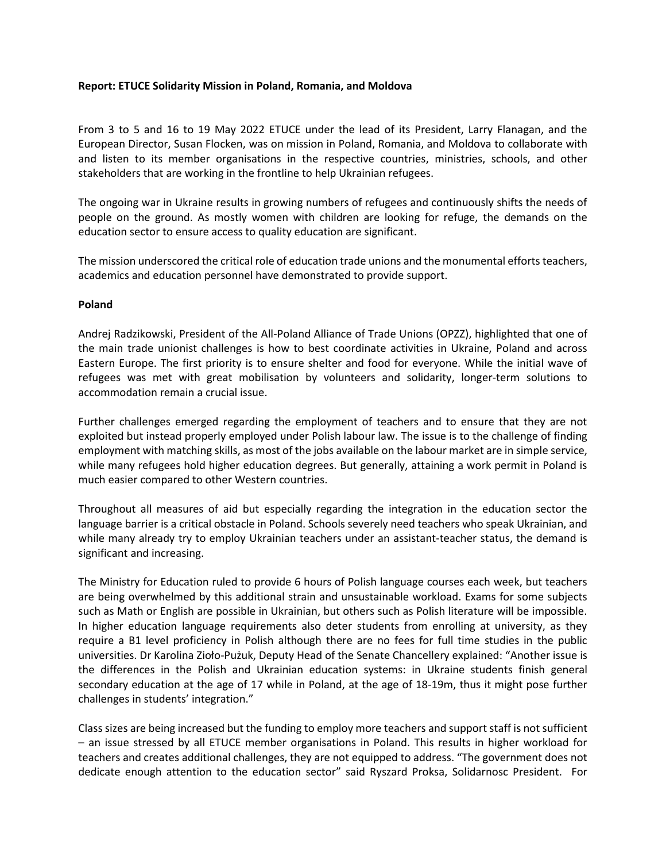## **Report: ETUCE Solidarity Mission in Poland, Romania, and Moldova**

From 3 to 5 and 16 to 19 May 2022 ETUCE under the lead of its President, Larry Flanagan, and the European Director, Susan Flocken, was on mission in Poland, Romania, and Moldova to collaborate with and listen to its member organisations in the respective countries, ministries, schools, and other stakeholders that are working in the frontline to help Ukrainian refugees.

The ongoing war in Ukraine results in growing numbers of refugees and continuously shifts the needs of people on the ground. As mostly women with children are looking for refuge, the demands on the education sector to ensure access to quality education are significant.

The mission underscored the critical role of education trade unions and the monumental efforts teachers, academics and education personnel have demonstrated to provide support.

## **Poland**

Andrej Radzikowski, President of the All-Poland Alliance of Trade Unions (OPZZ), highlighted that one of the main trade unionist challenges is how to best coordinate activities in Ukraine, Poland and across Eastern Europe. The first priority is to ensure shelter and food for everyone. While the initial wave of refugees was met with great mobilisation by volunteers and solidarity, longer-term solutions to accommodation remain a crucial issue.

Further challenges emerged regarding the employment of teachers and to ensure that they are not exploited but instead properly employed under Polish labour law. The issue is to the challenge of finding employment with matching skills, as most of the jobs available on the labour market are in simple service, while many refugees hold higher education degrees. But generally, attaining a work permit in Poland is much easier compared to other Western countries.

Throughout all measures of aid but especially regarding the integration in the education sector the language barrier is a critical obstacle in Poland. Schools severely need teachers who speak Ukrainian, and while many already try to employ Ukrainian teachers under an assistant-teacher status, the demand is significant and increasing.

The Ministry for Education ruled to provide 6 hours of Polish language courses each week, but teachers are being overwhelmed by this additional strain and unsustainable workload. Exams for some subjects such as Math or English are possible in Ukrainian, but others such as Polish literature will be impossible. In higher education language requirements also deter students from enrolling at university, as they require a B1 level proficiency in Polish although there are no fees for full time studies in the public universities. Dr Karolina Zioło-Pużuk, Deputy Head of the Senate Chancellery explained: "Another issue is the differences in the Polish and Ukrainian education systems: in Ukraine students finish general secondary education at the age of 17 while in Poland, at the age of 18-19m, thus it might pose further challenges in students' integration."

Class sizes are being increased but the funding to employ more teachers and support staff is not sufficient – an issue stressed by all ETUCE member organisations in Poland. This results in higher workload for teachers and creates additional challenges, they are not equipped to address. "The government does not dedicate enough attention to the education sector" said Ryszard Proksa, Solidarnosc President. For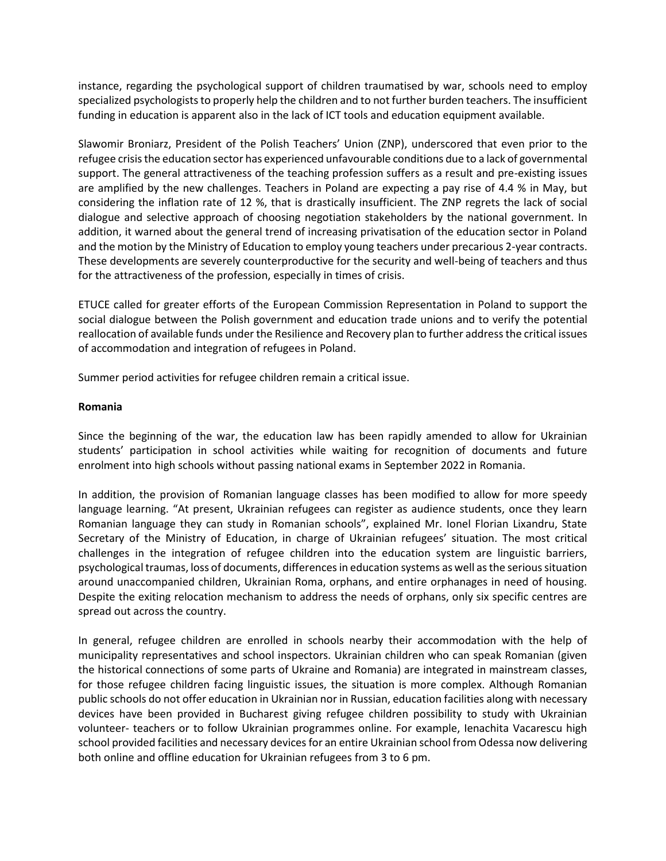instance, regarding the psychological support of children traumatised by war, schools need to employ specialized psychologists to properly help the children and to not further burden teachers. The insufficient funding in education is apparent also in the lack of ICT tools and education equipment available.

Slawomir Broniarz, President of the Polish Teachers' Union (ZNP), underscored that even prior to the refugee crisis the education sector has experienced unfavourable conditions due to a lack of governmental support. The general attractiveness of the teaching profession suffers as a result and pre-existing issues are amplified by the new challenges. Teachers in Poland are expecting a pay rise of 4.4 % in May, but considering the inflation rate of 12 %, that is drastically insufficient. The ZNP regrets the lack of social dialogue and selective approach of choosing negotiation stakeholders by the national government. In addition, it warned about the general trend of increasing privatisation of the education sector in Poland and the motion by the Ministry of Education to employ young teachers under precarious 2-year contracts. These developments are severely counterproductive for the security and well-being of teachers and thus for the attractiveness of the profession, especially in times of crisis.

ETUCE called for greater efforts of the European Commission Representation in Poland to support the social dialogue between the Polish government and education trade unions and to verify the potential reallocation of available funds under the Resilience and Recovery plan to further address the critical issues of accommodation and integration of refugees in Poland.

Summer period activities for refugee children remain a critical issue.

## **Romania**

Since the beginning of the war, the education law has been rapidly amended to allow for Ukrainian students' participation in school activities while waiting for recognition of documents and future enrolment into high schools without passing national exams in September 2022 in Romania.

In addition, the provision of Romanian language classes has been modified to allow for more speedy language learning. "At present, Ukrainian refugees can register as audience students, once they learn Romanian language they can study in Romanian schools", explained Mr. Ionel Florian Lixandru, State Secretary of the Ministry of Education, in charge of Ukrainian refugees' situation. The most critical challenges in the integration of refugee children into the education system are linguistic barriers, psychological traumas, loss of documents, differences in education systems as well as the serious situation around unaccompanied children, Ukrainian Roma, orphans, and entire orphanages in need of housing. Despite the exiting relocation mechanism to address the needs of orphans, only six specific centres are spread out across the country.

In general, refugee children are enrolled in schools nearby their accommodation with the help of municipality representatives and school inspectors. Ukrainian children who can speak Romanian (given the historical connections of some parts of Ukraine and Romania) are integrated in mainstream classes, for those refugee children facing linguistic issues, the situation is more complex. Although Romanian public schools do not offer education in Ukrainian nor in Russian, education facilities along with necessary devices have been provided in Bucharest giving refugee children possibility to study with Ukrainian volunteer- teachers or to follow Ukrainian programmes online. For example, Ienachita Vacarescu high school provided facilities and necessary devices for an entire Ukrainian school from Odessa now delivering both online and offline education for Ukrainian refugees from 3 to 6 pm.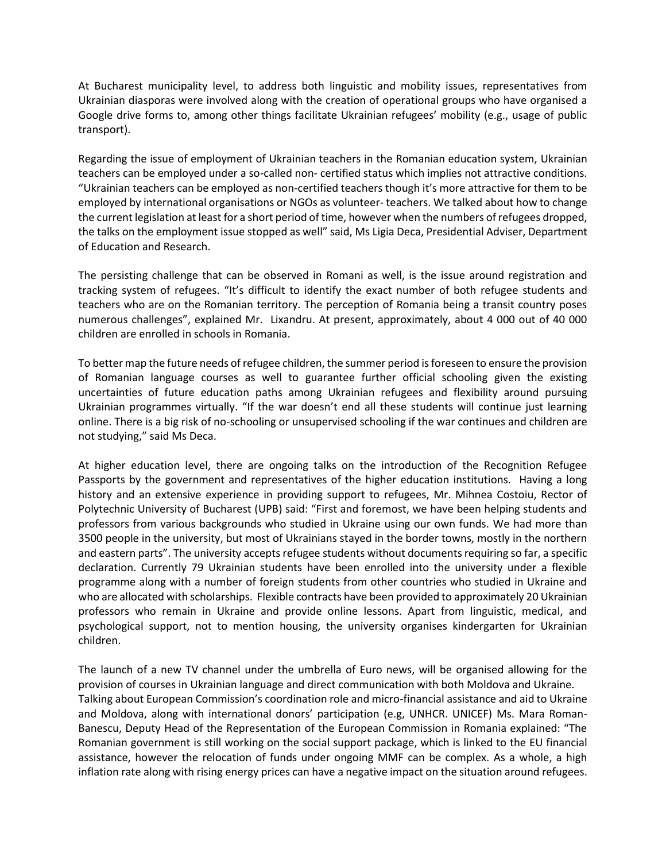At Bucharest municipality level, to address both linguistic and mobility issues, representatives from Ukrainian diasporas were involved along with the creation of operational groups who have organised a Google drive forms to, among other things facilitate Ukrainian refugees' mobility (e.g., usage of public transport).

Regarding the issue of employment of Ukrainian teachers in the Romanian education system, Ukrainian teachers can be employed under a so-called non- certified status which implies not attractive conditions. "Ukrainian teachers can be employed as non-certified teachers though it's more attractive for them to be employed by international organisations or NGOs as volunteer- teachers. We talked about how to change the current legislation at least for a short period of time, however when the numbers of refugees dropped, the talks on the employment issue stopped as well" said, Ms Ligia Deca, Presidential Adviser, Department of Education and Research.

The persisting challenge that can be observed in Romani as well, is the issue around registration and tracking system of refugees. "It's difficult to identify the exact number of both refugee students and teachers who are on the Romanian territory. The perception of Romania being a transit country poses numerous challenges", explained Mr. Lixandru. At present, approximately, about 4 000 out of 40 000 children are enrolled in schools in Romania.

To better map the future needs of refugee children, the summer period is foreseen to ensure the provision of Romanian language courses as well to guarantee further official schooling given the existing uncertainties of future education paths among Ukrainian refugees and flexibility around pursuing Ukrainian programmes virtually. "If the war doesn't end all these students will continue just learning online. There is a big risk of no-schooling or unsupervised schooling if the war continues and children are not studying," said Ms Deca.

At higher education level, there are ongoing talks on the introduction of the Recognition Refugee Passports by the government and representatives of the higher education institutions. Having a long history and an extensive experience in providing support to refugees, Mr. Mihnea Costoiu, Rector of Polytechnic University of Bucharest (UPB) said: "First and foremost, we have been helping students and professors from various backgrounds who studied in Ukraine using our own funds. We had more than 3500 people in the university, but most of Ukrainians stayed in the border towns, mostly in the northern and eastern parts". The university accepts refugee students without documents requiring so far, a specific declaration. Currently 79 Ukrainian students have been enrolled into the university under a flexible programme along with a number of foreign students from other countries who studied in Ukraine and who are allocated with scholarships. Flexible contracts have been provided to approximately 20 Ukrainian professors who remain in Ukraine and provide online lessons. Apart from linguistic, medical, and psychological support, not to mention housing, the university organises kindergarten for Ukrainian children.

The launch of a new TV channel under the umbrella of Euro news, will be organised allowing for the provision of courses in Ukrainian language and direct communication with both Moldova and Ukraine. Talking about European Commission's coordination role and micro-financial assistance and aid to Ukraine and Moldova, along with international donors' participation (e.g, UNHCR. UNICEF) Ms. Mara Roman-Banescu, Deputy Head of the Representation of the European Commission in Romania explained: "The Romanian government is still working on the social support package, which is linked to the EU financial assistance, however the relocation of funds under ongoing MMF can be complex. As a whole, a high inflation rate along with rising energy prices can have a negative impact on the situation around refugees.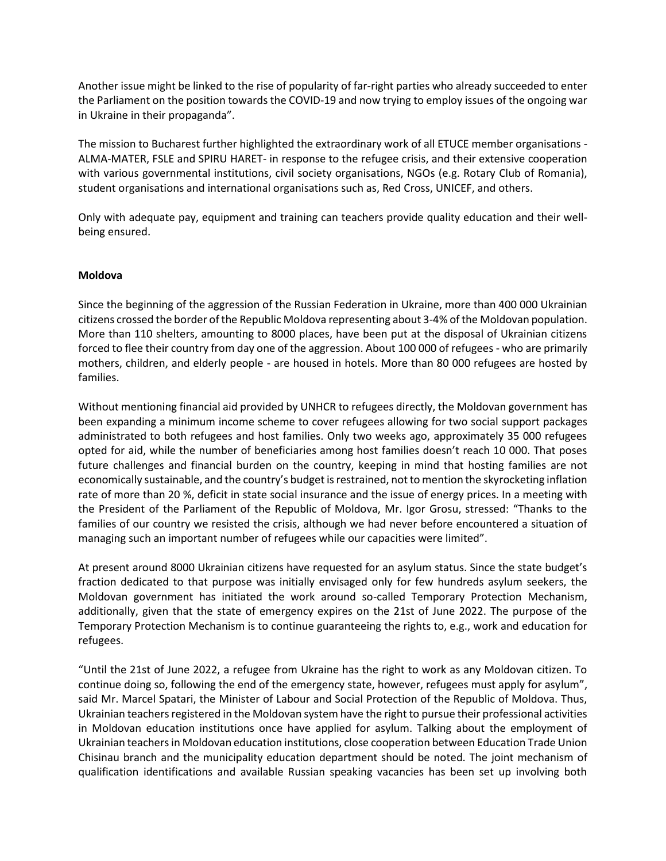Another issue might be linked to the rise of popularity of far-right parties who already succeeded to enter the Parliament on the position towards the COVID-19 and now trying to employ issues of the ongoing war in Ukraine in their propaganda".

The mission to Bucharest further highlighted the extraordinary work of all ETUCE member organisations - ALMA-MATER, FSLE and SPIRU HARET- in response to the refugee crisis, and their extensive cooperation with various governmental institutions, civil society organisations, NGOs (e.g. Rotary Club of Romania), student organisations and international organisations such as, Red Cross, UNICEF, and others.

Only with adequate pay, equipment and training can teachers provide quality education and their wellbeing ensured.

## **Moldova**

Since the beginning of the aggression of the Russian Federation in Ukraine, more than 400 000 Ukrainian citizens crossed the border of the Republic Moldova representing about 3-4% of the Moldovan population. More than 110 shelters, amounting to 8000 places, have been put at the disposal of Ukrainian citizens forced to flee their country from day one of the aggression. About 100 000 of refugees - who are primarily mothers, children, and elderly people - are housed in hotels. More than 80 000 refugees are hosted by families.

Without mentioning financial aid provided by UNHCR to refugees directly, the Moldovan government has been expanding a minimum income scheme to cover refugees allowing for two social support packages administrated to both refugees and host families. Only two weeks ago, approximately 35 000 refugees opted for aid, while the number of beneficiaries among host families doesn't reach 10 000. That poses future challenges and financial burden on the country, keeping in mind that hosting families are not economically sustainable, and the country's budget is restrained, not to mention the skyrocketing inflation rate of more than 20 %, deficit in state social insurance and the issue of energy prices. In a meeting with the President of the Parliament of the Republic of Moldova, Mr. Igor Grosu, stressed: "Thanks to the families of our country we resisted the crisis, although we had never before encountered a situation of managing such an important number of refugees while our capacities were limited".

At present around 8000 Ukrainian citizens have requested for an asylum status. Since the state budget's fraction dedicated to that purpose was initially envisaged only for few hundreds asylum seekers, the Moldovan government has initiated the work around so-called Temporary Protection Mechanism, additionally, given that the state of emergency expires on the 21st of June 2022. The purpose of the Temporary Protection Mechanism is to continue guaranteeing the rights to, e.g., work and education for refugees.

"Until the 21st of June 2022, a refugee from Ukraine has the right to work as any Moldovan citizen. To continue doing so, following the end of the emergency state, however, refugees must apply for asylum", said Mr. Marcel Spatari, the Minister of Labour and Social Protection of the Republic of Moldova. Thus, Ukrainian teachers registered in the Moldovan system have the right to pursue their professional activities in Moldovan education institutions once have applied for asylum. Talking about the employment of Ukrainian teachers in Moldovan education institutions, close cooperation between Education Trade Union Chisinau branch and the municipality education department should be noted. The joint mechanism of qualification identifications and available Russian speaking vacancies has been set up involving both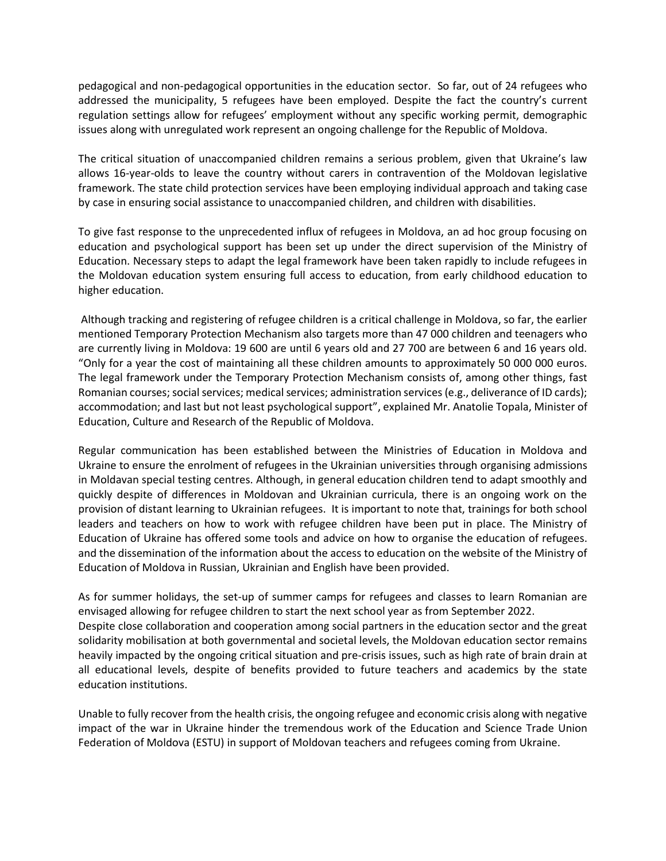pedagogical and non-pedagogical opportunities in the education sector. So far, out of 24 refugees who addressed the municipality, 5 refugees have been employed. Despite the fact the country's current regulation settings allow for refugees' employment without any specific working permit, demographic issues along with unregulated work represent an ongoing challenge for the Republic of Moldova.

The critical situation of unaccompanied children remains a serious problem, given that Ukraine's law allows 16-year-olds to leave the country without carers in contravention of the Moldovan legislative framework. The state child protection services have been employing individual approach and taking case by case in ensuring social assistance to unaccompanied children, and children with disabilities.

To give fast response to the unprecedented influx of refugees in Moldova, an ad hoc group focusing on education and psychological support has been set up under the direct supervision of the Ministry of Education. Necessary steps to adapt the legal framework have been taken rapidly to include refugees in the Moldovan education system ensuring full access to education, from early childhood education to higher education.

Although tracking and registering of refugee children is a critical challenge in Moldova, so far, the earlier mentioned Temporary Protection Mechanism also targets more than 47 000 children and teenagers who are currently living in Moldova: 19 600 are until 6 years old and 27 700 are between 6 and 16 years old. "Only for a year the cost of maintaining all these children amounts to approximately 50 000 000 euros. The legal framework under the Temporary Protection Mechanism consists of, among other things, fast Romanian courses; social services; medical services; administration services (e.g., deliverance of ID cards); accommodation; and last but not least psychological support", explained Mr. Anatolie Topala, Minister of Education, Culture and Research of the Republic of Moldova.

Regular communication has been established between the Ministries of Education in Moldova and Ukraine to ensure the enrolment of refugees in the Ukrainian universities through organising admissions in Moldavan special testing centres. Although, in general education children tend to adapt smoothly and quickly despite of differences in Moldovan and Ukrainian curricula, there is an ongoing work on the provision of distant learning to Ukrainian refugees. It is important to note that, trainings for both school leaders and teachers on how to work with refugee children have been put in place. The Ministry of Education of Ukraine has offered some tools and advice on how to organise the education of refugees. and the dissemination of the information about the access to education on the website of the Ministry of Education of Moldova in Russian, Ukrainian and English have been provided.

As for summer holidays, the set-up of summer camps for refugees and classes to learn Romanian are envisaged allowing for refugee children to start the next school year as from September 2022. Despite close collaboration and cooperation among social partners in the education sector and the great solidarity mobilisation at both governmental and societal levels, the Moldovan education sector remains heavily impacted by the ongoing critical situation and pre-crisis issues, such as high rate of brain drain at all educational levels, despite of benefits provided to future teachers and academics by the state education institutions.

Unable to fully recover from the health crisis, the ongoing refugee and economic crisis along with negative impact of the war in Ukraine hinder the tremendous work of the Education and Science Trade Union Federation of Moldova (ESTU) in support of Moldovan teachers and refugees coming from Ukraine.